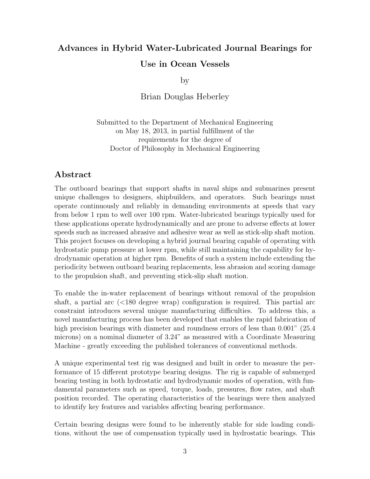## Advances in Hybrid Water-Lubricated Journal Bearings for Use in Ocean Vessels

by

Brian Douglas Heberley

Submitted to the Department of Mechanical Engineering on May 18, 2013, in partial fulfillment of the requirements for the degree of Doctor of Philosophy in Mechanical Engineering

## Abstract

The outboard bearings that support shafts in naval ships and submarines present unique challenges to designers, shipbuilders, and operators. Such bearings must operate continuously and reliably in demanding environments at speeds that vary from below 1 rpm to well over 100 rpm. Water-lubricated bearings typically used for these applications operate hydrodynamically and are prone to adverse effects at lower speeds such as increased abrasive and adhesive wear as well as stick-slip shaft motion. This project focuses on developing a hybrid journal bearing capable of operating with hydrostatic pump pressure at lower rpm, while still maintaining the capability for hydrodynamic operation at higher rpm. Benefits of such a system include extending the periodicity between outboard bearing replacements, less abrasion and scoring damage to the propulsion shaft, and preventing stick-slip shaft motion.

To enable the in-water replacement of bearings without removal of the propulsion shaft, a partial arc (*<*180 degree wrap) configuration is required. This partial arc constraint introduces several unique manufacturing difficulties. To address this, a novel manufacturing process has been developed that enables the rapid fabrication of high precision bearings with diameter and roundness errors of less than 0.001" (25.4) microns) on a nominal diameter of 3.24" as measured with a Coordinate Measuring Machine - greatly exceeding the published tolerances of conventional methods.

A unique experimental test rig was designed and built in order to measure the performance of 15 different prototype bearing designs. The rig is capable of submerged bearing testing in both hydrostatic and hydrodynamic modes of operation, with fundamental parameters such as speed, torque, loads, pressures, flow rates, and shaft position recorded. The operating characteristics of the bearings were then analyzed to identify key features and variables affecting bearing performance.

Certain bearing designs were found to be inherently stable for side loading conditions, without the use of compensation typically used in hydrostatic bearings. This